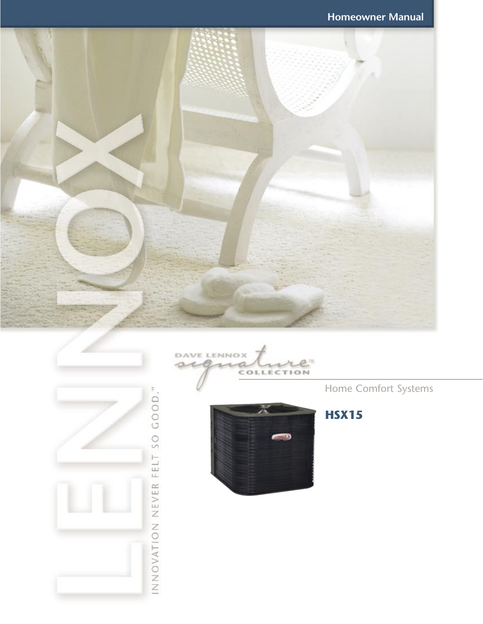







Home Comfort Systems

**HSX15**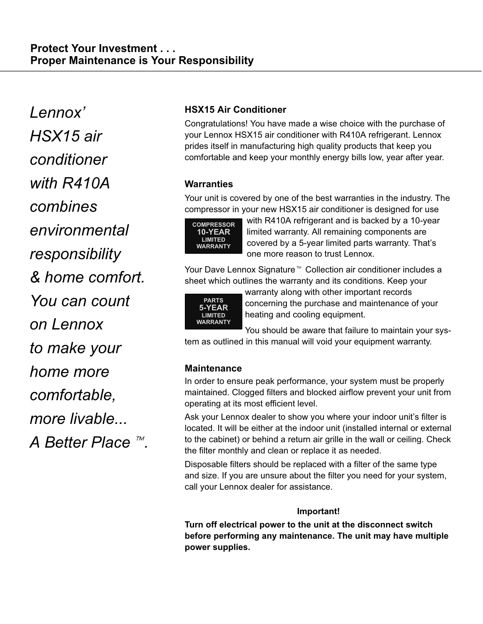Lennox' HSX15 air conditioner with R410A combines environmental responsibility & home comfort. You can count on Lennox to make your home more comfortable, more livable... more livable…<br>A Better Place ™.

# HSX15 Air Conditioner

Congratulations! You have made a wise choice with the purchase of your Lennox HSX15 air conditioner with R410A refrigerant. Lennox prides itself in manufacturing high quality products that keep you comfortable and keep your monthly energy bills low, year after year.

# **Warranties**

Your unit is covered by one of the best warranties in the industry. The compressor in your new HSX15 air conditioner is designed for use



with R410A refrigerant and is backed by a 10−year limited warranty. All remaining components are covered by a 5−year limited parts warranty. That's one more reason to trust Lennox.

Your Dave Lennox Signature<sup>™</sup> Collection air conditioner includes a sheet which outlines the warranty and its conditions. Keep your



warranty along with other important records concerning the purchase and maintenance of your heating and cooling equipment.

You should be aware that failure to maintain your system as outlined in this manual will void your equipment warranty.

# **Maintenance**

In order to ensure peak performance, your system must be properly maintained. Clogged filters and blocked airflow prevent your unit from operating at its most efficient level.

Ask your Lennox dealer to show you where your indoor unit's filter is located. It will be either at the indoor unit (installed internal or external to the cabinet) or behind a return air grille in the wall or ceiling. Check the filter monthly and clean or replace it as needed.

Disposable filters should be replaced with a filter of the same type and size. If you are unsure about the filter you need for your system, call your Lennox dealer for assistance.

## Important!

Turn off electrical power to the unit at the disconnect switch before performing any maintenance. The unit may have multiple power supplies.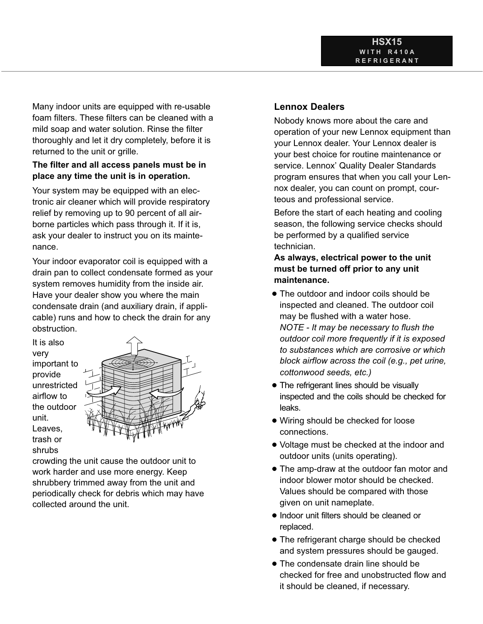Many indoor units are equipped with re-usable foam filters. These filters can be cleaned with a mild soap and water solution. Rinse the filter thoroughly and let it dry completely, before it is returned to the unit or grille.

### The filter and all access panels must be in place any time the unit is in operation.

Your system may be equipped with an electronic air cleaner which will provide respiratory relief by removing up to 90 percent of all airborne particles which pass through it. If it is, ask your dealer to instruct you on its maintenance.

Your indoor evaporator coil is equipped with a drain pan to collect condensate formed as your system removes humidity from the inside air. Have your dealer show you where the main condensate drain (and auxiliary drain, if applicable) runs and how to check the drain for any obstruction.

It is also very important to provide unrestricted airflow to the outdoor unit. Leaves, trash or shrubs



crowding the unit cause the outdoor unit to work harder and use more energy. Keep shrubbery trimmed away from the unit and periodically check for debris which may have collected around the unit.

## Lennox Dealers

Nobody knows more about the care and operation of your new Lennox equipment than your Lennox dealer. Your Lennox dealer is your best choice for routine maintenance or service. Lennox' Quality Dealer Standards program ensures that when you call your Lennox dealer, you can count on prompt, courteous and professional service.

Before the start of each heating and cooling season, the following service checks should be performed by a qualified service technician.

As always, electrical power to the unit must be turned off prior to any unit maintenance.

- The outdoor and indoor coils should be inspected and cleaned. The outdoor coil may be flushed with a water hose. NOTE − It may be necessary to flush the outdoor coil more frequently if it is exposed to substances which are corrosive or which block airflow across the coil (e.g., pet urine, cottonwood seeds, etc.)
- The refrigerant lines should be visually inspected and the coils should be checked for leaks.
- · Wiring should be checked for loose connections.
- Voltage must be checked at the indoor and outdoor units (units operating).
- The amp-draw at the outdoor fan motor and indoor blower motor should be checked. Values should be compared with those given on unit nameplate.
- Indoor unit filters should be cleaned or replaced.
- The refrigerant charge should be checked and system pressures should be gauged.
- The condensate drain line should be checked for free and unobstructed flow and it should be cleaned, if necessary.